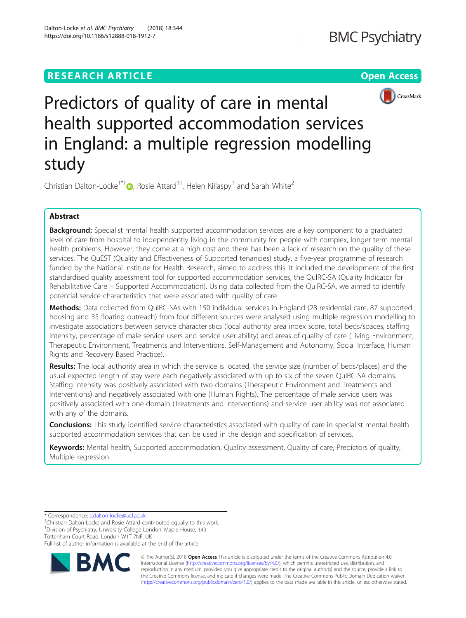

Predictors of quality of care in mental health supported accommodation services in England: a multiple regression modelling study

Christian Dalton-Locke<sup>1\*[†](http://orcid.org/0000-0002-1876-4741)</sup> D, Rosie Attard<sup>1†</sup>, Helen Killaspy<sup>1</sup> and Sarah White<sup>2</sup>

# Abstract

**Background:** Specialist mental health supported accommodation services are a key component to a graduated level of care from hospital to independently living in the community for people with complex, longer term mental health problems. However, they come at a high cost and there has been a lack of research on the quality of these services. The QuEST (Quality and Effectiveness of Supported tenancies) study, a five-year programme of research funded by the National Institute for Health Research, aimed to address this. It included the development of the first standardised quality assessment tool for supported accommodation services, the QuIRC-SA (Quality Indicator for Rehabilitative Care – Supported Accommodation). Using data collected from the QuIRC-SA, we aimed to identify potential service characteristics that were associated with quality of care.

Methods: Data collected from QuIRC-SAs with 150 individual services in England (28 residential care, 87 supported housing and 35 floating outreach) from four different sources were analysed using multiple regression modelling to investigate associations between service characteristics (local authority area index score, total beds/spaces, staffing intensity, percentage of male service users and service user ability) and areas of quality of care (Living Environment, Therapeutic Environment, Treatments and Interventions, Self-Management and Autonomy, Social Interface, Human Rights and Recovery Based Practice).

Results: The local authority area in which the service is located, the service size (number of beds/places) and the usual expected length of stay were each negatively associated with up to six of the seven QuIRC-SA domains. Staffing intensity was positively associated with two domains (Therapeutic Environment and Treatments and Interventions) and negatively associated with one (Human Rights). The percentage of male service users was positively associated with one domain (Treatments and Interventions) and service user ability was not associated with any of the domains.

**Conclusions:** This study identified service characteristics associated with quality of care in specialist mental health supported accommodation services that can be used in the design and specification of services.

Keywords: Mental health, Supported accommodation, Quality assessment, Quality of care, Predictors of quality, Multiple regression

\* Correspondence: [c.dalton-locke@ucl.ac.uk](mailto:c.dalton-locke@ucl.ac.uk) †

<sup>+</sup>Christian Dalton-Locke and Rosie Attard contributed equally to this work. <sup>1</sup> Division of Psychiatry, University College London, Maple House, 149 Tottenham Court Road, London W1T 7NF, UK

Full list of author information is available at the end of the article



© The Author(s). 2018 Open Access This article is distributed under the terms of the Creative Commons Attribution 4.0 International License [\(http://creativecommons.org/licenses/by/4.0/](http://creativecommons.org/licenses/by/4.0/)), which permits unrestricted use, distribution, and reproduction in any medium, provided you give appropriate credit to the original author(s) and the source, provide a link to the Creative Commons license, and indicate if changes were made. The Creative Commons Public Domain Dedication waiver [\(http://creativecommons.org/publicdomain/zero/1.0/](http://creativecommons.org/publicdomain/zero/1.0/)) applies to the data made available in this article, unless otherwise stated.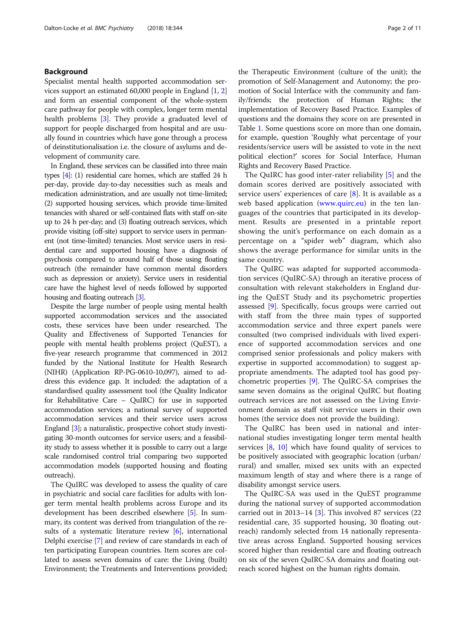## Background

Specialist mental health supported accommodation services support an estimated 60,000 people in England [[1,](#page-10-0) [2](#page-10-0)] and form an essential component of the whole-system care pathway for people with complex, longer term mental health problems [\[3](#page-10-0)]. They provide a graduated level of support for people discharged from hospital and are usually found in countries which have gone through a process of deinstitutionalisation i.e. the closure of asylums and development of community care.

In England, these services can be classified into three main types [[4](#page-10-0)]: (1) residential care homes, which are staffed 24 h per-day, provide day-to-day necessities such as meals and medication administration, and are usually not time-limited; (2) supported housing services, which provide time-limited tenancies with shared or self-contained flats with staff on-site up to 24 h per-day; and (3) floating outreach services, which provide visiting (off-site) support to service users in permanent (not time-limited) tenancies. Most service users in residential care and supported housing have a diagnosis of psychosis compared to around half of those using floating outreach (the remainder have common mental disorders such as depression or anxiety). Service users in residential care have the highest level of needs followed by supported housing and floating outreach [\[3](#page-10-0)].

Despite the large number of people using mental health supported accommodation services and the associated costs, these services have been under researched. The Quality and Effectiveness of Supported Tenancies for people with mental health problems project (QuEST), a five-year research programme that commenced in 2012 funded by the National Institute for Health Research (NIHR) (Application RP-PG-0610-10,097), aimed to address this evidence gap. It included: the adaptation of a standardised quality assessment tool (the Quality Indicator for Rehabilitative Care – QuIRC) for use in supported accommodation services; a national survey of supported accommodation services and their service users across England [\[3](#page-10-0)]; a naturalistic, prospective cohort study investigating 30-month outcomes for service users; and a feasibility study to assess whether it is possible to carry out a large scale randomised control trial comparing two supported accommodation models (supported housing and floating outreach).

The QuIRC was developed to assess the quality of care in psychiatric and social care facilities for adults with longer term mental health problems across Europe and its development has been described elsewhere [[5](#page-10-0)]. In summary, its content was derived from triangulation of the results of a systematic literature review [\[6](#page-10-0)], international Delphi exercise [[7](#page-10-0)] and review of care standards in each of ten participating European countries. Item scores are collated to assess seven domains of care: the Living (built) Environment; the Treatments and Interventions provided;

the Therapeutic Environment (culture of the unit); the promotion of Self-Management and Autonomy; the promotion of Social Interface with the community and family/friends; the protection of Human Rights; the implementation of Recovery Based Practice. Examples of questions and the domains they score on are presented in Table [1](#page-2-0). Some questions score on more than one domain, for example, question 'Roughly what percentage of your residents/service users will be assisted to vote in the next political election?' scores for Social Interface, Human Rights and Recovery Based Practice.

The QuIRC has good inter-rater reliability [[5\]](#page-10-0) and the domain scores derived are positively associated with service users' experiences of care  $[8]$  $[8]$ . It is available as a web based application [\(www.quirc.eu](http://www.quirc.eu)) in the ten languages of the countries that participated in its development. Results are presented in a printable report showing the unit's performance on each domain as a percentage on a "spider web" diagram, which also shows the average performance for similar units in the same country.

The QuIRC was adapted for supported accommodation services (QuIRC-SA) through an iterative process of consultation with relevant stakeholders in England during the QuEST Study and its psychometric properties assessed [[9\]](#page-10-0). Specifically, focus groups were carried out with staff from the three main types of supported accommodation service and three expert panels were consulted (two comprised individuals with lived experience of supported accommodation services and one comprised senior professionals and policy makers with expertise in supported accommodation) to suggest appropriate amendments. The adapted tool has good psychometric properties [\[9](#page-10-0)]. The QuIRC-SA comprises the same seven domains as the original QuIRC but floating outreach services are not assessed on the Living Environment domain as staff visit service users in their own homes (the service does not provide the building).

The QuIRC has been used in national and international studies investigating longer term mental health services [[8,](#page-10-0) [10\]](#page-10-0) which have found quality of services to be positively associated with geographic location (urban/ rural) and smaller, mixed sex units with an expected maximum length of stay and where there is a range of disability amongst service users.

The QuIRC-SA was used in the QuEST programme during the national survey of supported accommodation carried out in 2013–14 [[3\]](#page-10-0). This involved 87 services (22 residential care, 35 supported housing, 30 floating outreach) randomly selected from 14 nationally representative areas across England. Supported housing services scored higher than residential care and floating outreach on six of the seven QuIRC-SA domains and floating outreach scored highest on the human rights domain.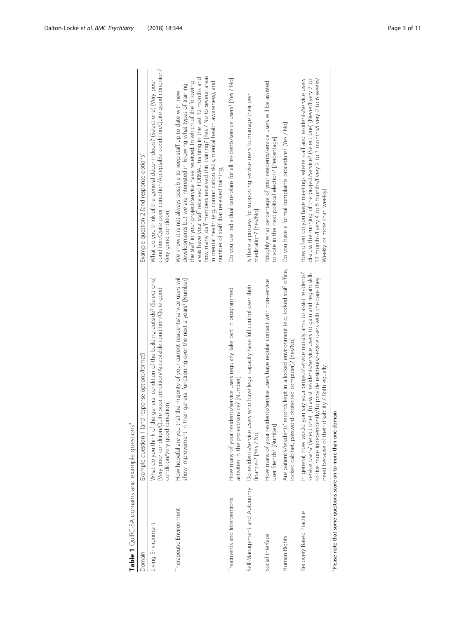<span id="page-2-0"></span>

| Table 1 QuIRC-SA domains and example questions <sup>ª</sup> |                                                                                                                                                                                                                                                                                                                         |                                                                                                                                                                                                                                                                                                                                                                                                                                                                                                            |
|-------------------------------------------------------------|-------------------------------------------------------------------------------------------------------------------------------------------------------------------------------------------------------------------------------------------------------------------------------------------------------------------------|------------------------------------------------------------------------------------------------------------------------------------------------------------------------------------------------------------------------------------------------------------------------------------------------------------------------------------------------------------------------------------------------------------------------------------------------------------------------------------------------------------|
| Domain                                                      | Example question 1 [and response options/format]                                                                                                                                                                                                                                                                        | Example question 2 [and response options]                                                                                                                                                                                                                                                                                                                                                                                                                                                                  |
| Living Environment                                          | general condition of the building outside? (Select one)<br>[Very poor condition/Quite poor condition/Acceptable condition/Quite good<br>condition/Very good condition]<br>What do you think of the                                                                                                                      | condition/Quite poor condition/Acceptable condition/Quite good condition/<br>What do you think of the general décor indoors? (Select one) [Very poor<br>Very good condition]                                                                                                                                                                                                                                                                                                                               |
| Therapeutic Environment                                     | How hopeful are you that the majority of your current residents/service users will<br>show improvement in their general functioning over the next 2 years? [Number]                                                                                                                                                     | how many staff members received this training? [Yes / No to several areas<br>areas have your staff received FORMAL training in the last 12 months and<br>in mental health (e.g. comunication skills, mental health awareness), and<br>the staff in your project/service have received. In which of the following<br>developments but we are interested in knowing what types of training<br>We know it is not always possible to keep staff up to date with new<br>number of staff that received training] |
| Treatments and Interventions                                | How many of your residents/service users regularly take part in programmed<br>activities in the project/service? [Number]                                                                                                                                                                                               | Do you use individual care-plans for all residents/service users? [Yes / No]                                                                                                                                                                                                                                                                                                                                                                                                                               |
| Self-Management and Autonomy                                | Do residents/service users who have legal capacity have full control over their<br>finances? [Yes / No]                                                                                                                                                                                                                 | Is there a process for supporting service users to manage their own<br>medication? [Yes/No]                                                                                                                                                                                                                                                                                                                                                                                                                |
| Social Interface                                            | How many of your residents/service users have regular contact with non-service<br>user friends? [Number]                                                                                                                                                                                                                | Roughly what percentage of your residents/service users will be assisted<br>to vote in the next political election? [Percentage]                                                                                                                                                                                                                                                                                                                                                                           |
| Human Rights                                                | Are patient's/residents' records kept in a locked environment (e.g. locked staff office,<br>locked cabinet, password-protected computer)? [Yes/No]                                                                                                                                                                      | Do you have a formal complaints procedure? [Yes / No]                                                                                                                                                                                                                                                                                                                                                                                                                                                      |
| Recovery Based Practice                                     | In general, how would you say your project/service mostly aims to assist residents/<br>service users? (Select one) [To assist residents/service users to gain and regain skills<br>to live more independently/To provide residents/service users with the care they<br>need because of their disability / Both equally] | 12 months/Every 4 to 6 months/Every 2 to 3 months/Every 2 to 6 weeks/<br>How often do you have meetings where staff and residents/service users<br>discuss the running of the project/service? (Select one) [Never/Every 7 to<br>Weekly or more than weekly]                                                                                                                                                                                                                                               |

<sup>a</sup>Please note that some questions score on to more than one domain aPlease note that some questions score on to more than one domain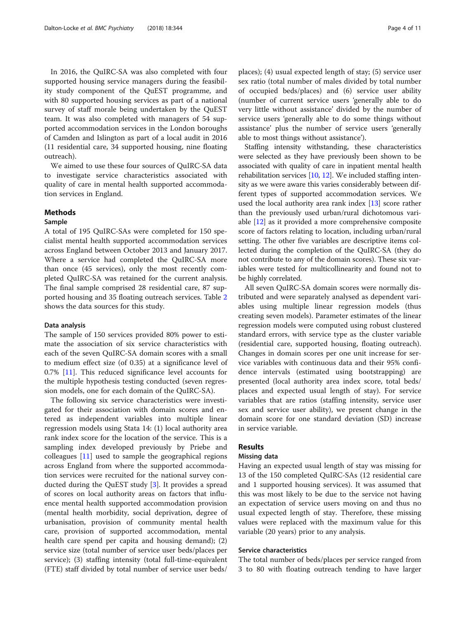In 2016, the QuIRC-SA was also completed with four supported housing service managers during the feasibility study component of the QuEST programme, and with 80 supported housing services as part of a national survey of staff morale being undertaken by the QuEST team. It was also completed with managers of 54 supported accommodation services in the London boroughs of Camden and Islington as part of a local audit in 2016 (11 residential care, 34 supported housing, nine floating outreach).

We aimed to use these four sources of QuIRC-SA data to investigate service characteristics associated with quality of care in mental health supported accommodation services in England.

## Methods

#### Sample

A total of 195 QuIRC-SAs were completed for 150 specialist mental health supported accommodation services across England between October 2013 and January 2017. Where a service had completed the QuIRC-SA more than once (45 services), only the most recently completed QuIRC-SA was retained for the current analysis. The final sample comprised 28 residential care, 87 supported housing and 35 floating outreach services. Table [2](#page-4-0) shows the data sources for this study.

### Data analysis

The sample of 150 services provided 80% power to estimate the association of six service characteristics with each of the seven QuIRC-SA domain scores with a small to medium effect size (of 0.35) at a significance level of 0.7% [\[11](#page-10-0)]. This reduced significance level accounts for the multiple hypothesis testing conducted (seven regression models, one for each domain of the QuIRC-SA).

The following six service characteristics were investigated for their association with domain scores and entered as independent variables into multiple linear regression models using Stata 14: (1) local authority area rank index score for the location of the service. This is a sampling index developed previously by Priebe and colleagues [\[11](#page-10-0)] used to sample the geographical regions across England from where the supported accommodation services were recruited for the national survey conducted during the QuEST study [\[3\]](#page-10-0). It provides a spread of scores on local authority areas on factors that influence mental health supported accommodation provision (mental health morbidity, social deprivation, degree of urbanisation, provision of community mental health care, provision of supported accommodation, mental health care spend per capita and housing demand); (2) service size (total number of service user beds/places per service); (3) staffing intensity (total full-time-equivalent (FTE) staff divided by total number of service user beds/ places); (4) usual expected length of stay; (5) service user sex ratio (total number of males divided by total number of occupied beds/places) and (6) service user ability (number of current service users 'generally able to do very little without assistance' divided by the number of service users 'generally able to do some things without assistance' plus the number of service users 'generally able to most things without assistance').

Staffing intensity withstanding, these characteristics were selected as they have previously been shown to be associated with quality of care in inpatient mental health rehabilitation services [\[10,](#page-10-0) [12](#page-10-0)]. We included staffing intensity as we were aware this varies considerably between different types of supported accommodation services. We used the local authority area rank index [[13\]](#page-10-0) score rather than the previously used urban/rural dichotomous variable [\[12\]](#page-10-0) as it provided a more comprehensive composite score of factors relating to location, including urban/rural setting. The other five variables are descriptive items collected during the completion of the QuIRC-SA (they do not contribute to any of the domain scores). These six variables were tested for multicollinearity and found not to be highly correlated.

All seven QuIRC-SA domain scores were normally distributed and were separately analysed as dependent variables using multiple linear regression models (thus creating seven models). Parameter estimates of the linear regression models were computed using robust clustered standard errors, with service type as the cluster variable (residential care, supported housing, floating outreach). Changes in domain scores per one unit increase for service variables with continuous data and their 95% confidence intervals (estimated using bootstrapping) are presented (local authority area index score, total beds/ places and expected usual length of stay). For service variables that are ratios (staffing intensity, service user sex and service user ability), we present change in the domain score for one standard deviation (SD) increase in service variable.

## Results

## Missing data

Having an expected usual length of stay was missing for 13 of the 150 completed QuIRC-SAs (12 residential care and 1 supported housing services). It was assumed that this was most likely to be due to the service not having an expectation of service users moving on and thus no usual expected length of stay. Therefore, these missing values were replaced with the maximum value for this variable (20 years) prior to any analysis.

## Service characteristics

The total number of beds/places per service ranged from 3 to 80 with floating outreach tending to have larger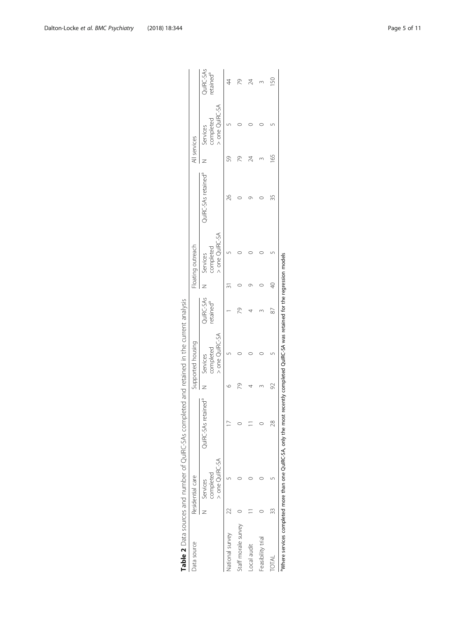|                     |                |                                         | Table 2 Data sources and number of QuIRc-SAs completed and retained in the current analysis                                      |    |                                         |                                    |   |                                           |                                 |     |                                         |                                    |
|---------------------|----------------|-----------------------------------------|----------------------------------------------------------------------------------------------------------------------------------|----|-----------------------------------------|------------------------------------|---|-------------------------------------------|---------------------------------|-----|-----------------------------------------|------------------------------------|
| Data source         |                | Residential care                        |                                                                                                                                  |    | Supported housing                       |                                    |   | Floating outreach                         |                                 |     | All services                            |                                    |
|                     | $\overline{z}$ | > one QuIRC-SA<br>completed<br>Services | QuIRC-SAs retained <sup>a</sup>                                                                                                  |    | > one QuIRC-SA<br>completed<br>Services | QuIRC-SAs<br>retained <sup>a</sup> |   | > one QuIRC-SA<br>completed<br>N Services | QuIRC-SAs retained <sup>a</sup> |     | > one QuIRC-SA<br>completed<br>Services | QuIRC-SAs<br>retained <sup>a</sup> |
| National survey     | 22             |                                         |                                                                                                                                  | ⊙  |                                         |                                    | ò |                                           | 26                              | 59  |                                         | 44                                 |
| Staff morale survey |                |                                         |                                                                                                                                  | R  |                                         | 2                                  |   |                                           |                                 | 2   |                                         | Q                                  |
| Local audit         |                |                                         |                                                                                                                                  |    |                                         |                                    |   |                                           |                                 | 24  |                                         | 24                                 |
| Feasibility trial   |                |                                         |                                                                                                                                  |    |                                         |                                    |   |                                           |                                 |     |                                         |                                    |
| TOTAL               | 33             |                                         | $\frac{8}{2}$                                                                                                                    | 92 | 5                                       | 87                                 | P |                                           | 35                              | 165 |                                         | 50                                 |
|                     |                |                                         | Mere services completed more than one QuIRC-SA, only the most recently completed QuIRC-SA was retained for the regression models |    |                                         |                                    |   |                                           |                                 |     |                                         |                                    |

| ֖֖֖֖֖֧֪ׅ֖֖֖֧ׅ֪֪֪֪֪֪֪֪֪֪֪֪֪֪֪֪֪֪֪֪֪֪ׅ֧֚֚֚֚֚֚֚֚֚֚֚֚֚֚֚֚֚֚֚֚֚֚֚֚֚֚֚֚֚֚֚֚֚֚֡֝֓֝֓֬֓֬֓֡֓֬֓֞֞ |
|----------------------------------------------------------------------------------------|
|                                                                                        |
|                                                                                        |
| $\frac{1}{2}$                                                                          |
|                                                                                        |
|                                                                                        |
| I<br>ļ                                                                                 |
|                                                                                        |
|                                                                                        |
| í                                                                                      |
|                                                                                        |
| $\overline{ }$                                                                         |
|                                                                                        |
|                                                                                        |
|                                                                                        |
|                                                                                        |
|                                                                                        |
| $\frac{1}{2}$                                                                          |
|                                                                                        |
|                                                                                        |
| l                                                                                      |
|                                                                                        |
| $\overline{a}$                                                                         |
| ļ                                                                                      |
|                                                                                        |
| $\frac{5}{1}$<br>י<br>ו                                                                |
|                                                                                        |
| $\overline{\phantom{a}}$                                                               |
| į                                                                                      |
| $\frac{1}{2}$                                                                          |
| į                                                                                      |
| J                                                                                      |
|                                                                                        |
| ļ                                                                                      |
|                                                                                        |
|                                                                                        |
|                                                                                        |
| l                                                                                      |
|                                                                                        |
|                                                                                        |
|                                                                                        |
| ミニシノコー                                                                                 |
| ļ<br>l                                                                                 |
|                                                                                        |
| j<br>I                                                                                 |
| ļ                                                                                      |
|                                                                                        |
| .<br>.<br>.<br>.<br>.<br>I                                                             |
|                                                                                        |
| )<br>)                                                                                 |
| ς                                                                                      |
| $\frac{1}{\sqrt{2}}$                                                                   |
| j                                                                                      |
|                                                                                        |
| $\mathbf{r}$                                                                           |
|                                                                                        |
| j                                                                                      |
|                                                                                        |
|                                                                                        |
|                                                                                        |
|                                                                                        |
| Sains S<br>$\frac{5}{1}$                                                               |
|                                                                                        |
|                                                                                        |
| 5<br>)                                                                                 |
| j                                                                                      |
|                                                                                        |
| j                                                                                      |
|                                                                                        |
|                                                                                        |
|                                                                                        |
|                                                                                        |
|                                                                                        |
| $\overline{\phantom{a}}$                                                               |
| j                                                                                      |
| I<br>Í                                                                                 |
|                                                                                        |
| į                                                                                      |
|                                                                                        |
|                                                                                        |
| I<br>I                                                                                 |

<span id="page-4-0"></span>Dalton-Locke et al. BMC Psychiatry (2018) 18:344 Page 5 of 11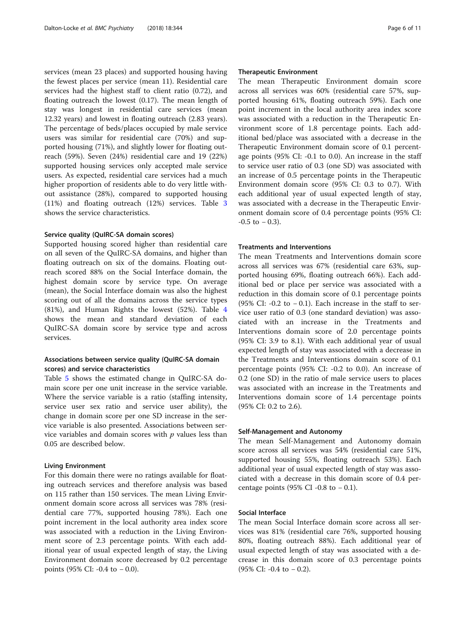services (mean 23 places) and supported housing having the fewest places per service (mean 11). Residential care services had the highest staff to client ratio (0.72), and floating outreach the lowest (0.17). The mean length of stay was longest in residential care services (mean 12.32 years) and lowest in floating outreach (2.83 years). The percentage of beds/places occupied by male service users was similar for residential care (70%) and supported housing (71%), and slightly lower for floating outreach (59%). Seven (24%) residential care and 19 (22%) supported housing services only accepted male service users. As expected, residential care services had a much higher proportion of residents able to do very little without assistance (28%), compared to supported housing (11%) and floating outreach (12%) services. Table [3](#page-6-0) shows the service characteristics.

## Service quality (QuIRC-SA domain scores)

Supported housing scored higher than residential care on all seven of the QuIRC-SA domains, and higher than floating outreach on six of the domains. Floating outreach scored 88% on the Social Interface domain, the highest domain score by service type. On average (mean), the Social Interface domain was also the highest scoring out of all the domains across the service types (81%), and Human Rights the lowest (52%). Table [4](#page-7-0) shows the mean and standard deviation of each QuIRC-SA domain score by service type and across services.

## Associations between service quality (QuIRC-SA domain scores) and service characteristics

Table [5](#page-8-0) shows the estimated change in QuIRC-SA domain score per one unit increase in the service variable. Where the service variable is a ratio (staffing intensity, service user sex ratio and service user ability), the change in domain score per one SD increase in the service variable is also presented. Associations between service variables and domain scores with  $p$  values less than 0.05 are described below.

#### Living Environment

For this domain there were no ratings available for floating outreach services and therefore analysis was based on 115 rather than 150 services. The mean Living Environment domain score across all services was 78% (residential care 77%, supported housing 78%). Each one point increment in the local authority area index score was associated with a reduction in the Living Environment score of 2.3 percentage points. With each additional year of usual expected length of stay, the Living Environment domain score decreased by 0.2 percentage points (95% CI: -0.4 to − 0.0).

## Therapeutic Environment

The mean Therapeutic Environment domain score across all services was 60% (residential care 57%, supported housing 61%, floating outreach 59%). Each one point increment in the local authority area index score was associated with a reduction in the Therapeutic Environment score of 1.8 percentage points. Each additional bed/place was associated with a decrease in the Therapeutic Environment domain score of 0.1 percentage points (95% CI: -0.1 to 0.0). An increase in the staff to service user ratio of 0.3 (one SD) was associated with an increase of 0.5 percentage points in the Therapeutic Environment domain score (95% CI: 0.3 to 0.7). With each additional year of usual expected length of stay, was associated with a decrease in the Therapeutic Environment domain score of 0.4 percentage points (95% CI:  $-0.5$  to  $-0.3$ ).

## Treatments and Interventions

The mean Treatments and Interventions domain score across all services was 67% (residential care 63%, supported housing 69%, floating outreach 66%). Each additional bed or place per service was associated with a reduction in this domain score of 0.1 percentage points (95% CI: -0.2 to  $-0.1$ ). Each increase in the staff to service user ratio of 0.3 (one standard deviation) was associated with an increase in the Treatments and Interventions domain score of 2.0 percentage points (95% CI: 3.9 to 8.1). With each additional year of usual expected length of stay was associated with a decrease in the Treatments and Interventions domain score of 0.1 percentage points (95% CI: -0.2 to 0.0). An increase of 0.2 (one SD) in the ratio of male service users to places was associated with an increase in the Treatments and Interventions domain score of 1.4 percentage points (95% CI: 0.2 to 2.6).

#### Self-Management and Autonomy

The mean Self-Management and Autonomy domain score across all services was 54% (residential care 51%, supported housing 55%, floating outreach 53%). Each additional year of usual expected length of stay was associated with a decrease in this domain score of 0.4 percentage points (95% CI -0.8 to  $-0.1$ ).

## Social Interface

The mean Social Interface domain score across all services was 81% (residential care 76%, supported housing 80%, floating outreach 88%). Each additional year of usual expected length of stay was associated with a decrease in this domain score of 0.3 percentage points (95% CI: -0.4 to − 0.2).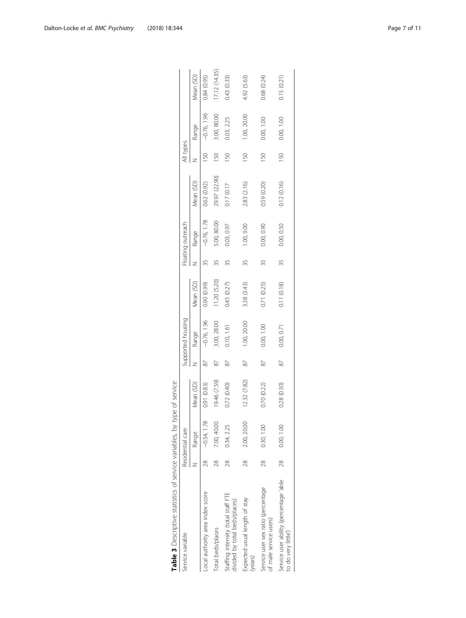<span id="page-6-0"></span>

| Table 3 Descriptive statistics of service variables, by type of service |               |                  |             |    |                   |              |    |                   |               |              |               |              |
|-------------------------------------------------------------------------|---------------|------------------|-------------|----|-------------------|--------------|----|-------------------|---------------|--------------|---------------|--------------|
| Service variable                                                        |               | Residential care |             |    | Supported housing |              |    | Floating outreach |               | All types    |               |              |
|                                                                         |               | Range            | Mean (SD)   |    | Range             | Mean (SD)    |    | Range             | Mean (SD)     |              | Range         | Mean (SD)    |
| ocal authority area index score                                         | œ             | $-0.54, 1.78$    | 0.91 (0.83) | 87 | $-0.76, 1.96$     | 0.90 (0.99)  |    | $-0.76, 1.78$     | 0.62 (0.92)   | $\mathbb{S}$ | $-0.76, 1.96$ | 0.84 (0.95)  |
| Total beds/places                                                       | $\frac{8}{2}$ | 7.00, 40.00      | 9.46 (7.59) | 87 | 3.00, 28.00       | 11.20 (5.20) | 35 | 5.00, 80.00       | 29.97 (22.90) | 50           | 3.00, 80.00   | 17.12(14.35) |
| Staffing intensity (total staff FTE<br>divided by total beds/places)    | 28            | 0.34, 2.25       | 0.72 (0.40) | 87 | 0.10, 1.61        | 0.45 (0.27)  | 35 | 0.03, 0.97        | 0.17 (0.17    | 150          | 0.03, 2.25    | 0.43 (0.33)  |
| Expected usual length of stay<br>(years)                                | $\frac{8}{2}$ | 2.00, 20.00      | 2.32 (7.82) | 87 | 1.00, 20.00       | 3.38 (3.43)  | 35 | 1.00, 9.00        | 2.83 (2.16)   | 150          | 1.00, 20.00   | 4.92 (5.63)  |
| Service user sex ratio (percentage<br>of male service users)            | $\frac{8}{2}$ | 0.30, 1.00       | 0.70 (0.22) | 87 | 0.00, 1.00        | 0.71 (0.25)  | 35 | 0.00, 0.90        | 0.59 (0.20)   | 150          | 0.00, 1.00    | 0.68 (0.24)  |
| Service user ability (percentage 'able<br>to do very little")           | 8             | 0.00, 1.00       | 0.28(0.30)  | 87 | 0.00, 0.71        | 0.11(0.18)   | 35 | 0.00, 0.50        | 0.12(0.16)    | 150          | 0.00, 1.00    | 0.15 (0.21)  |
|                                                                         |               |                  |             |    |                   |              |    |                   |               |              |               |              |

| J<br>١<br>J      |
|------------------|
| ì                |
| I<br>J<br>١<br>١ |
| I<br>I<br>J      |
| I<br>J           |
| ١                |
|                  |
|                  |
| I<br>Į           |
| l<br>j<br>l<br>J |
| l<br>J           |
| I<br>:           |
| ļ<br>í           |
|                  |
| l<br>j<br>I<br>J |
| i                |
| į<br>I<br>J      |
| l<br>١           |
|                  |
| ١<br>l           |
| I<br>l<br>Í<br>J |
| ï                |
| ١                |
| I<br>ī           |
| ١                |
|                  |
|                  |
|                  |
| J<br>j           |
| Ï<br>j           |
| J<br>l<br>١      |
| I                |
| í<br>ı           |
| I                |
|                  |
|                  |
|                  |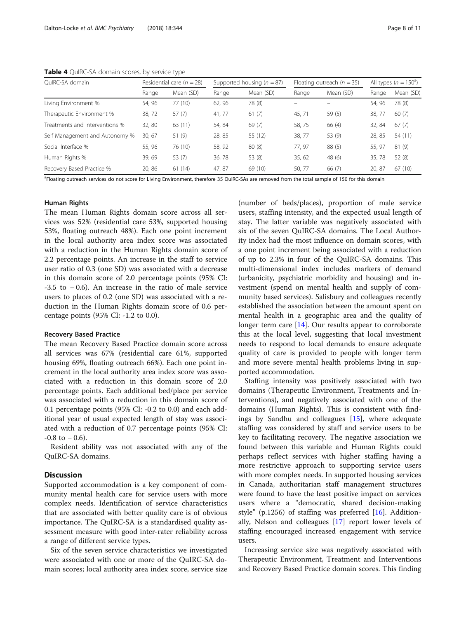<span id="page-7-0"></span>Table 4 QuIRC-SA domain scores, by service type

| QuIRC-SA domain                |        | Residential care ( $n = 28$ ) |        | Supported housing $(n = 87)$ |        | Floating outreach $(n = 35)$ |        | All types ( $n = 150^{\circ}$ ) |
|--------------------------------|--------|-------------------------------|--------|------------------------------|--------|------------------------------|--------|---------------------------------|
|                                | Range  | Mean (SD)                     | Range  | Mean (SD)                    | Range  | Mean (SD)                    | Range  | Mean (SD)                       |
| Living Environment %           | 54, 96 | 77 (10)                       | 62, 96 | 78 (8)                       |        |                              | 54.96  | 78 (8)                          |
| Therapeutic Environment %      | 38, 72 | 57(7)                         | 41, 77 | 61(7)                        | 45, 71 | 59 (5)                       | 38, 77 | 60(7)                           |
| Treatments and Interventions % | 32,80  | 63(11)                        | 54, 84 | 69(7)                        | 58, 75 | 66 (4)                       | 32, 84 | 67(7)                           |
| Self Management and Autonomy % | 30, 67 | 51 (9)                        | 28, 85 | 55 (12)                      | 38, 77 | 53 (9)                       | 28.85  | 54 (11)                         |
| Social Interface %             | 55, 96 | 76 (10)                       | 58, 92 | 80(8)                        | 77, 97 | 88 (5)                       | 55, 97 | 81(9)                           |
| Human Rights %                 | 39,69  | 53 (7)                        | 36, 78 | 53 (8)                       | 35, 62 | 48 (6)                       | 35, 78 | 52 (8)                          |
| Recovery Based Practice %      | 20,86  | 61(14)                        | 47, 87 | 69 (10)                      | 50.77  | 66 (7)                       | 20, 87 | 67(10)                          |

<sup>a</sup>Floating outreach services do not score for Living Environment, therefore 35 QuIRC-SAs are removed from the total sample of 150 for this domain

### Human Rights

The mean Human Rights domain score across all services was 52% (residential care 53%, supported housing 53%, floating outreach 48%). Each one point increment in the local authority area index score was associated with a reduction in the Human Rights domain score of 2.2 percentage points. An increase in the staff to service user ratio of 0.3 (one SD) was associated with a decrease in this domain score of 2.0 percentage points (95% CI: -3.5 to − 0.6). An increase in the ratio of male service users to places of 0.2 (one SD) was associated with a reduction in the Human Rights domain score of 0.6 percentage points (95% CI: -1.2 to 0.0).

#### Recovery Based Practice

The mean Recovery Based Practice domain score across all services was 67% (residential care 61%, supported housing 69%, floating outreach 66%). Each one point increment in the local authority area index score was associated with a reduction in this domain score of 2.0 percentage points. Each additional bed/place per service was associated with a reduction in this domain score of 0.1 percentage points (95% CI: -0.2 to 0.0) and each additional year of usual expected length of stay was associated with a reduction of 0.7 percentage points (95% CI:  $-0.8$  to  $-0.6$ ).

Resident ability was not associated with any of the QuIRC-SA domains.

### **Discussion**

Supported accommodation is a key component of community mental health care for service users with more complex needs. Identification of service characteristics that are associated with better quality care is of obvious importance. The QuIRC-SA is a standardised quality assessment measure with good inter-rater reliability across a range of different service types.

Six of the seven service characteristics we investigated were associated with one or more of the QuIRC-SA domain scores; local authority area index score, service size

(number of beds/places), proportion of male service users, staffing intensity, and the expected usual length of stay. The latter variable was negatively associated with six of the seven QuIRC-SA domains. The Local Authority index had the most influence on domain scores, with a one point increment being associated with a reduction of up to 2.3% in four of the QuIRC-SA domains. This multi-dimensional index includes markers of demand (urbanicity, psychiatric morbidity and housing) and investment (spend on mental health and supply of community based services). Salisbury and colleagues recently established the association between the amount spent on mental health in a geographic area and the quality of longer term care [[14\]](#page-10-0). Our results appear to corroborate this at the local level, suggesting that local investment needs to respond to local demands to ensure adequate quality of care is provided to people with longer term and more severe mental health problems living in supported accommodation.

Staffing intensity was positively associated with two domains (Therapeutic Environment, Treatments and Interventions), and negatively associated with one of the domains (Human Rights). This is consistent with findings by Sandhu and colleagues [[15](#page-10-0)], where adequate staffing was considered by staff and service users to be key to facilitating recovery. The negative association we found between this variable and Human Rights could perhaps reflect services with higher staffing having a more restrictive approach to supporting service users with more complex needs. In supported housing services in Canada, authoritarian staff management structures were found to have the least positive impact on services users where a "democratic, shared decision-making style" (p.1256) of staffing was preferred [\[16](#page-10-0)]. Additionally, Nelson and colleagues [\[17](#page-10-0)] report lower levels of staffing encouraged increased engagement with service users.

Increasing service size was negatively associated with Therapeutic Environment, Treatment and Interventions and Recovery Based Practice domain scores. This finding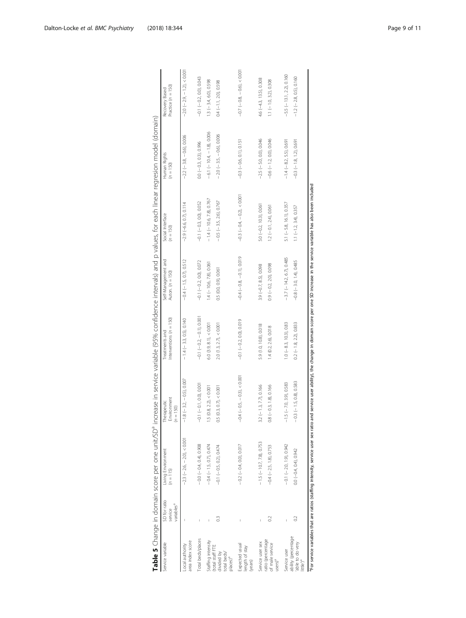|                                                                      |                                                   | Table 5 Change in domain score per one unit/SD <sup>a</sup> increase in service variable (95% confidence intervals) and p values, for each linear regresion model (domain)                             |                                            |                                               |                                           |                                 |                                   |                                        |
|----------------------------------------------------------------------|---------------------------------------------------|--------------------------------------------------------------------------------------------------------------------------------------------------------------------------------------------------------|--------------------------------------------|-----------------------------------------------|-------------------------------------------|---------------------------------|-----------------------------------|----------------------------------------|
| Service variable                                                     | SD for ratio<br>variables <sup>a</sup><br>service | Living Environment<br>$(n = 115)$                                                                                                                                                                      | Environment<br>Therapeutic<br>$= 150$<br>S | Interventions ( $n = 150$ )<br>Treatments and | Self-Management and<br>Auton. $(n = 150)$ | Social Interface<br>$(n = 150)$ | Human Rights<br>$(n = 150)$       | Practice $(n = 150)$<br>Recovery Based |
| area index score<br>Local authority                                  |                                                   | $-2.3$ ( $-2.6$ , $-2.0$ ), < 0.001                                                                                                                                                                    | $1.8$ (-3.2, -0.5), 0.007                  | $-14 (= 3.3, 0.5), 0.140$                     | $-0.4$ ( $-1.5$ , 0.7), 0.512             | $-2.9(-6.6, 0.7, 0.114)$        | $-2.2$ ( $-3.8$ , $-0.6$ ), 0.006 | $-2.0(-2.9, -1.2), < 0.001$            |
| Total beds/places                                                    |                                                   | $-0.0 (-0.4, 0.4), 0.908$                                                                                                                                                                              | $-0.1 (-0.1, 0.0), 0.001$                  | $-0.1(-0.2, -0.1), 0.001$                     | $-0.1 (-0.2, 0.0, 0.072$                  | $-0.1 (-0.3, 0.0), 0.052$       | $0.0 (-0.3, 0.3), 0.996$          | $-0.1(-0.2, 0.0), 0.043$               |
| Staffing intensity                                                   |                                                   | $-0.4$ ( $-1.5$ , 0.7), 0.474                                                                                                                                                                          | $1.5$ (0.8, 2.2), < 0.001                  | $6.0$ $(3.9, 8.1)$ , < 0.001                  | $1.4 (-10.6, 7.8), 0.061$                 | $-1.4 (-10.6, 7.8), 0.767$      | $-6.1(-10.4, -1.8), 0.006$        | $1.3 (-3.4, 6.0), 0.598$               |
| total staff FTE<br>total beds/<br>divided by<br>places) <sup>a</sup> | 3                                                 | $-0.1 (-0.5, 0.2), 0.474$                                                                                                                                                                              | 0.5(0.3, 0.7), < 0.001                     | $2.0$ (1.3, $2.7$ ), < 0.001                  | 0.5 (0.0, 0.9), 0.061                     | $-0.5$ ( $-3.5$ , 2.6), 0.767   | $-2.0(-3.5, -0.6)$ , 0.006        | $0.4 (-1.1, 2.0), 0.598$               |
| Expected usual<br>length of stay<br>(years)                          |                                                   | $-0.2$ ( $-0.4$ , 0.0), 0.017                                                                                                                                                                          | $-0.4 (-0.5, -0.3), < 0.001$               | $-0.1 (-0.2, 0.0), 0.019$                     | $-0.4(-0.8, -0.1), 0.019$                 | $-0.3(-0.4, -0.2)$ , < 0.001    | $-0.3 (-0.6, 0.1), 0.151$         | $-0.7(-0.8, -0.6), <0.001$             |
| Service user sex                                                     |                                                   | $-1.5$ ( $-10.7$ , 7.8), 0.753                                                                                                                                                                         | $3.2$ (-1.3, 7.7), 0.166                   | 5.9 (1.0, 10.8), 0.018                        | $3.9 (-0.7, 8.5), 0.098$                  | $5.0 (-0.2, 10.3), 0.061$       | $-2.5 (-5.0, 0.0, 0.046$          | 4.6 (-4.3, 13.5), 0.308                |
| ratio (percentage<br>of male service<br>$users)^a$                   | $\overline{0}$                                    | $-0.4$ ( $-2.5$ , 1.8), 0.753                                                                                                                                                                          | $0.8 (-0.3, 1.8), 0.166$                   | 1.4 (0.2, 2.6), 0.018                         | $0.9 (-0.2, 2.0), 0.098$                  | $1.2 (-0.1, 2.4), 0.061$        | $-0.6 (-12, 0.0, 0.046$           | $1.1 (-1.0, 3.2), 0.308$               |
| Service user                                                         | $\overline{1}$                                    | $-0.1$ $(-2.0, 1.9)$ , 0.942                                                                                                                                                                           | $1.5 (-7.0, 3.9), 0.583$<br>ī              | $1.0 (-8.3, 10.3), 0.83$                      | $-3.7$ (-14.2, 6.7), 0.485                | $5.1 (-5.8, 16.1), 0.357$       | $-1.4 (-8.2, 5.5), 0.691$         | $-5.5 (-13.1, 2.2), 0.160$             |
| ability (percentage<br>able to do very<br>ittle') <sup>a</sup>       | $\approx$                                         | $0.0 (-0.4, 0.4), 0.942$                                                                                                                                                                               | $-0.3$ (-1.5, 0.8), 0.583                  | $0.2$ (-1.8, 2.2), 0.833                      | $-0.8$ ( $-3.0$ , 1.4), 0.485             | $1.1 (-1.2, 3.4), 0.357$        | $-0.3(-1.8, 1.2), 0.691$          | $-1.2$ ( $-2.8$ , 0.5), 0.160          |
|                                                                      |                                                   | For service variables that are ratios (staffing intensity, service user satio and service user ability), the change in domain score per one SD increase in the service variable has also been included |                                            |                                               |                                           |                                 |                                   |                                        |
|                                                                      |                                                   |                                                                                                                                                                                                        |                                            |                                               |                                           |                                 |                                   |                                        |

<span id="page-8-0"></span>Dalton-Locke et al. BMC Psychiatry (2018) 18:344 Page 9 of 11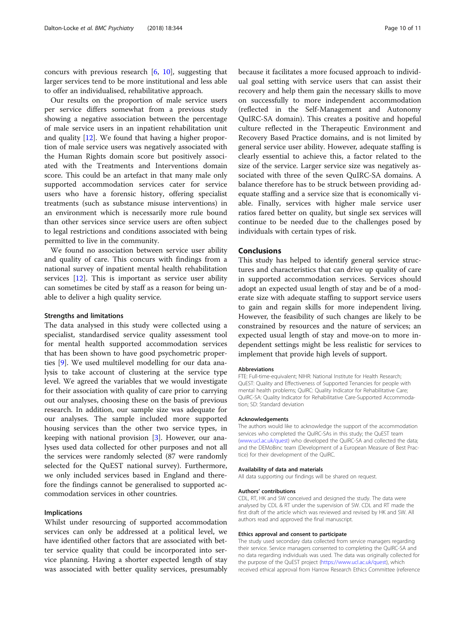concurs with previous research  $[6, 10]$  $[6, 10]$  $[6, 10]$ , suggesting that larger services tend to be more institutional and less able to offer an individualised, rehabilitative approach.

Our results on the proportion of male service users per service differs somewhat from a previous study showing a negative association between the percentage of male service users in an inpatient rehabilitation unit and quality [\[12](#page-10-0)]. We found that having a higher proportion of male service users was negatively associated with the Human Rights domain score but positively associated with the Treatments and Interventions domain score. This could be an artefact in that many male only supported accommodation services cater for service users who have a forensic history, offering specialist treatments (such as substance misuse interventions) in an environment which is necessarily more rule bound than other services since service users are often subject to legal restrictions and conditions associated with being permitted to live in the community.

We found no association between service user ability and quality of care. This concurs with findings from a national survey of inpatient mental health rehabilitation services [[12\]](#page-10-0). This is important as service user ability can sometimes be cited by staff as a reason for being unable to deliver a high quality service.

### Strengths and limitations

The data analysed in this study were collected using a specialist, standardised service quality assessment tool for mental health supported accommodation services that has been shown to have good psychometric properties [\[9](#page-10-0)]. We used multilevel modelling for our data analysis to take account of clustering at the service type level. We agreed the variables that we would investigate for their association with quality of care prior to carrying out our analyses, choosing these on the basis of previous research. In addition, our sample size was adequate for our analyses. The sample included more supported housing services than the other two service types, in keeping with national provision [[3](#page-10-0)]. However, our analyses used data collected for other purposes and not all the services were randomly selected (87 were randomly selected for the QuEST national survey). Furthermore, we only included services based in England and therefore the findings cannot be generalised to supported accommodation services in other countries.

### Implications

Whilst under resourcing of supported accommodation services can only be addressed at a political level, we have identified other factors that are associated with better service quality that could be incorporated into service planning. Having a shorter expected length of stay was associated with better quality services, presumably

because it facilitates a more focused approach to individual goal setting with service users that can assist their recovery and help them gain the necessary skills to move on successfully to more independent accommodation (reflected in the Self-Management and Autonomy QuIRC-SA domain). This creates a positive and hopeful culture reflected in the Therapeutic Environment and Recovery Based Practice domains, and is not limited by general service user ability. However, adequate staffing is clearly essential to achieve this, a factor related to the size of the service. Larger service size was negatively associated with three of the seven QuIRC-SA domains. A balance therefore has to be struck between providing adequate staffing and a service size that is economically viable. Finally, services with higher male service user ratios fared better on quality, but single sex services will continue to be needed due to the challenges posed by individuals with certain types of risk.

## **Conclusions**

This study has helped to identify general service structures and characteristics that can drive up quality of care in supported accommodation services. Services should adopt an expected usual length of stay and be of a moderate size with adequate staffing to support service users to gain and regain skills for more independent living. However, the feasibility of such changes are likely to be constrained by resources and the nature of services; an expected usual length of stay and move-on to more independent settings might be less realistic for services to implement that provide high levels of support.

#### **Abbreviations**

FTE: Full-time-equivalent; NIHR: National Institute for Health Research; QuEST: Quality and Effectiveness of Supported Tenancies for people with mental health problems; QuIRC: Quality Indicator for Rehabilitative Care; QuIRC-SA: Quality Indicator for Rehabilitative Care-Supported Accommodation; SD: Standard deviation

#### Acknowledgements

The authors would like to acknowledge the support of the accommodation services who completed the QuIRC-SAs in this study; the QuEST team ([www.ucl.ac.uk/quest](http://www.ucl.ac.uk/quest)) who developed the QuIRC-SA and collected the data; and the DEMoBinc team (Development of a European Measure of Best Practice) for their development of the QuIRC.

#### Availability of data and materials

All data supporting our findings will be shared on request.

#### Authors' contributions

CDL, RT, HK and SW conceived and designed the study. The data were analysed by CDL & RT under the supervision of SW. CDL and RT made the first draft of the article which was reviewed and revised by HK and SW. All authors read and approved the final manuscript.

#### Ethics approval and consent to participate

The study used secondary data collected from service managers regarding their service. Service managers consented to completing the QuIRC-SA and no data regarding individuals was used. The data was originally collected for the purpose of the QuEST project ([https://www.ucl.ac.uk/quest\)](https://www.ucl.ac.uk/quest), which received ethical approval from Harrow Research Ethics Committee (reference